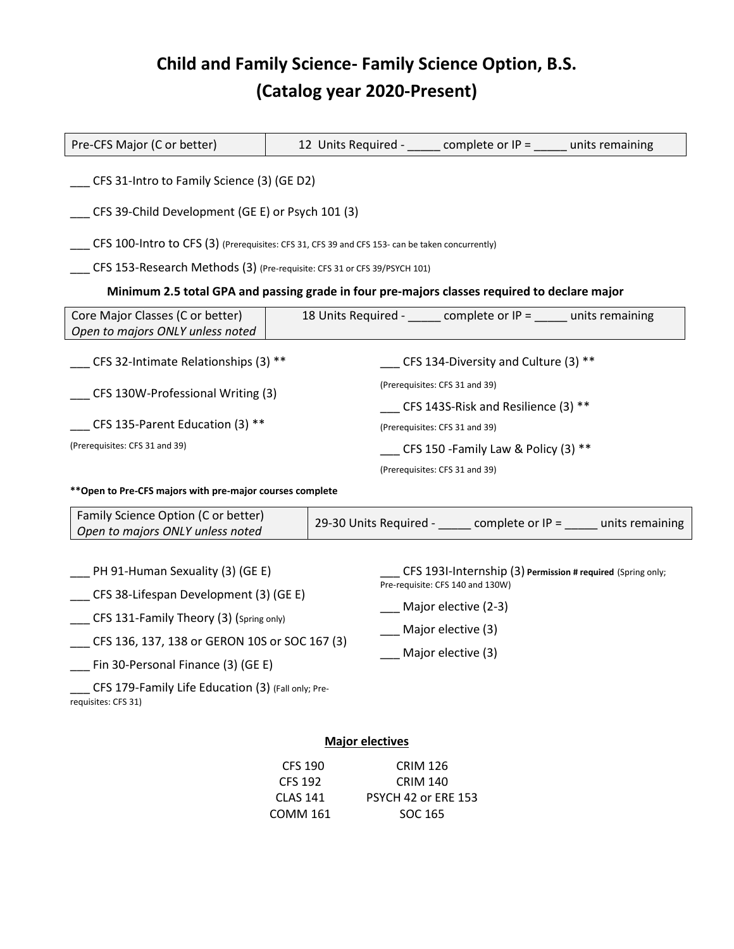## **Child and Family Science- Family Science Option, B.S. (Catalog year 2020-Present)**

| Pre-CFS Major (C or better)                                                                                                                                                                                                                                                                    |  |  |                                                                                                                                                                     | 12 Units Required - _____ complete or IP = _____ units remaining |                                                                    |  |
|------------------------------------------------------------------------------------------------------------------------------------------------------------------------------------------------------------------------------------------------------------------------------------------------|--|--|---------------------------------------------------------------------------------------------------------------------------------------------------------------------|------------------------------------------------------------------|--------------------------------------------------------------------|--|
| CFS 31-Intro to Family Science (3) (GE D2)                                                                                                                                                                                                                                                     |  |  |                                                                                                                                                                     |                                                                  |                                                                    |  |
| CFS 39-Child Development (GE E) or Psych 101 (3)                                                                                                                                                                                                                                               |  |  |                                                                                                                                                                     |                                                                  |                                                                    |  |
| CFS 100-Intro to CFS (3) (Prerequisites: CFS 31, CFS 39 and CFS 153- can be taken concurrently)                                                                                                                                                                                                |  |  |                                                                                                                                                                     |                                                                  |                                                                    |  |
| CFS 153-Research Methods (3) (Pre-requisite: CFS 31 or CFS 39/PSYCH 101)                                                                                                                                                                                                                       |  |  |                                                                                                                                                                     |                                                                  |                                                                    |  |
| Minimum 2.5 total GPA and passing grade in four pre-majors classes required to declare major                                                                                                                                                                                                   |  |  |                                                                                                                                                                     |                                                                  |                                                                    |  |
| Core Major Classes (C or better)<br>Open to majors ONLY unless noted                                                                                                                                                                                                                           |  |  |                                                                                                                                                                     | 18 Units Required - complete or IP = units remaining             |                                                                    |  |
| $CFS$ 32-Intimate Relationships (3) **                                                                                                                                                                                                                                                         |  |  | CFS 134-Diversity and Culture (3) $**$                                                                                                                              |                                                                  |                                                                    |  |
| _ CFS 130W-Professional Writing (3)                                                                                                                                                                                                                                                            |  |  | (Prerequisites: CFS 31 and 39)<br>CFS 143S-Risk and Resilience (3) **                                                                                               |                                                                  |                                                                    |  |
| CFS 135-Parent Education (3) **                                                                                                                                                                                                                                                                |  |  | (Prerequisites: CFS 31 and 39)                                                                                                                                      |                                                                  |                                                                    |  |
| (Prerequisites: CFS 31 and 39)                                                                                                                                                                                                                                                                 |  |  | CFS 150 - Family Law & Policy (3) **                                                                                                                                |                                                                  |                                                                    |  |
|                                                                                                                                                                                                                                                                                                |  |  |                                                                                                                                                                     | (Prerequisites: CFS 31 and 39)                                   |                                                                    |  |
| **Open to Pre-CFS majors with pre-major courses complete                                                                                                                                                                                                                                       |  |  |                                                                                                                                                                     |                                                                  |                                                                    |  |
| Family Science Option (C or better)<br>Open to majors ONLY unless noted                                                                                                                                                                                                                        |  |  |                                                                                                                                                                     |                                                                  | 29-30 Units Required - _____ complete or IP = ____ units remaining |  |
| $P$ H 91-Human Sexuality (3) (GE E)<br>_ CFS 38-Lifespan Development (3) (GE E)<br>CFS 131-Family Theory (3) (Spring only)<br>CFS 136, 137, 138 or GERON 10S or SOC 167 (3)<br>Fin 30-Personal Finance (3) (GE E)<br>CFS 179-Family Life Education (3) (Fall only; Pre-<br>requisites: CFS 31) |  |  | CFS 1931-Internship (3) Permission # required (Spring only;<br>Pre-requisite: CFS 140 and 130W)<br>Major elective (2-3)<br>Major elective (3)<br>Major elective (3) |                                                                  |                                                                    |  |
| Maior oloctivos                                                                                                                                                                                                                                                                                |  |  |                                                                                                                                                                     |                                                                  |                                                                    |  |

## **Major electives**

| <b>CRIM 126</b>            |
|----------------------------|
| CRIM 140                   |
| <b>PSYCH 42 or ERE 153</b> |
| SOC 165                    |
|                            |